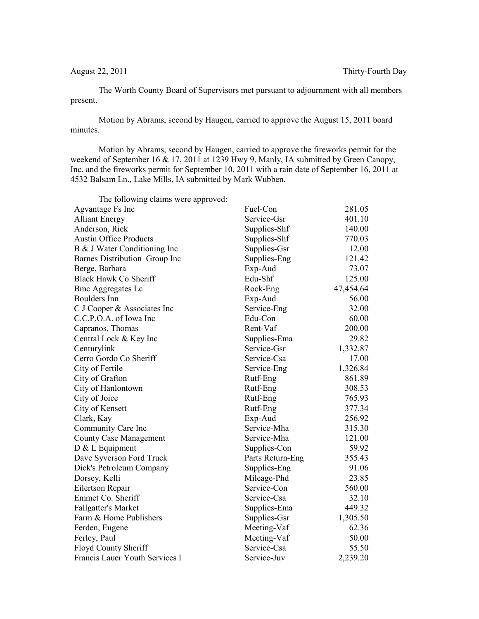The Worth County Board of Supervisors met pursuant to adjournment with all members present.

Motion by Abrams, second by Haugen, carried to approve the August 15, 2011 board minutes.

Motion by Abrams, second by Haugen, carried to approve the fireworks permit for the weekend of September 16 & 17, 2011 at 1239 Hwy 9, Manly, IA submitted by Green Canopy, Inc. and the fireworks permit for September 10, 2011 with a rain date of September 16, 2011 at 4532 Balsam Ln., Lake Mills, IA submitted by Mark Wubben.

| The following claims were approved: |                  |           |
|-------------------------------------|------------------|-----------|
| Agvantage Fs Inc                    | Fuel-Con         | 281.05    |
| <b>Alliant Energy</b>               | Service-Gsr      | 401.10    |
| Anderson, Rick                      | Supplies-Shf     | 140.00    |
| <b>Austin Office Products</b>       | Supplies-Shf     | 770.03    |
| B & J Water Conditioning Inc        | Supplies-Gsr     | 12.00     |
| Barnes Distribution Group Inc       | Supplies-Eng     | 121.42    |
| Berge, Barbara                      | Exp-Aud          | 73.07     |
| Black Hawk Co Sheriff               | Edu-Shf          | 125.00    |
| <b>Bmc Aggregates Lc</b>            | Rock-Eng         | 47,454.64 |
| Boulders Inn                        | Exp-Aud          | 56.00     |
| C J Cooper & Associates Inc         | Service-Eng      | 32.00     |
| C.C.P.O.A. of Iowa Inc              | Edu-Con          | 60.00     |
| Capranos, Thomas                    | Rent-Vaf         | 200.00    |
| Central Lock & Key Inc              | Supplies-Ema     | 29.82     |
| Centurylink                         | Service-Gsr      | 1,332.87  |
| Cerro Gordo Co Sheriff              | Service-Csa      | 17.00     |
| City of Fertile                     | Service-Eng      | 1,326.84  |
| City of Grafton                     | Rutf-Eng         | 861.89    |
| City of Hanlontown                  | Rutf-Eng         | 308.53    |
| City of Joice                       | Rutf-Eng         | 765.93    |
| City of Kensett                     | Rutf-Eng         | 377.34    |
| Clark, Kay                          | Exp-Aud          | 256.92    |
| Community Care Inc                  | Service-Mha      | 315.30    |
| <b>County Case Management</b>       | Service-Mha      | 121.00    |
| $D & L$ Equipment                   | Supplies-Con     | 59.92     |
| Dave Syverson Ford Truck            | Parts Return-Eng | 355.43    |
| Dick's Petroleum Company            | Supplies-Eng     | 91.06     |
| Dorsey, Kelli                       | Mileage-Phd      | 23.85     |
| Eilertson Repair                    | Service-Con      | 560.00    |
| Emmet Co. Sheriff                   | Service-Csa      | 32.10     |
| <b>Fallgatter's Market</b>          | Supplies-Ema     | 449.32    |
| Farm & Home Publishers              | Supplies-Gsr     | 1,305.50  |
| Ferden, Eugene                      | Meeting-Vaf      | 62.36     |
| Ferley, Paul                        | Meeting-Vaf      | 50.00     |
| Floyd County Sheriff                | Service-Csa      | 55.50     |
| Francis Lauer Youth Services I      | Service-Juv      | 2,239.20  |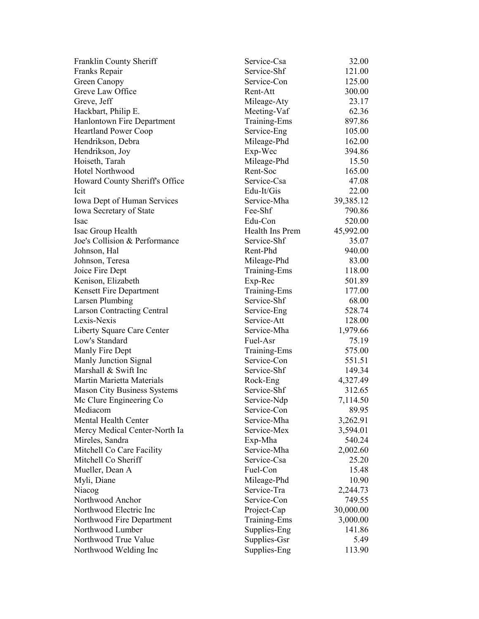| Franklin County Sheriff            | Service-Csa     | 32.00     |
|------------------------------------|-----------------|-----------|
| Franks Repair                      | Service-Shf     | 121.00    |
| Green Canopy                       | Service-Con     | 125.00    |
| Greve Law Office                   | Rent-Att        | 300.00    |
| Greve, Jeff                        | Mileage-Aty     | 23.17     |
| Hackbart, Philip E.                | Meeting-Vaf     | 62.36     |
| Hanlontown Fire Department         | Training-Ems    | 897.86    |
| <b>Heartland Power Coop</b>        | Service-Eng     | 105.00    |
| Hendrikson, Debra                  | Mileage-Phd     | 162.00    |
| Hendrikson, Joy                    | Exp-Wec         | 394.86    |
| Hoiseth, Tarah                     | Mileage-Phd     | 15.50     |
| Hotel Northwood                    | Rent-Soc        | 165.00    |
| Howard County Sheriff's Office     | Service-Csa     | 47.08     |
| Icit                               | Edu-It/Gis      | 22.00     |
| <b>Iowa Dept of Human Services</b> | Service-Mha     | 39,385.12 |
| <b>Iowa Secretary of State</b>     | Fee-Shf         | 790.86    |
| <b>Isac</b>                        | Edu-Con         | 520.00    |
| Isac Group Health                  | Health Ins Prem | 45,992.00 |
| Joe's Collision & Performance      | Service-Shf     | 35.07     |
| Johnson, Hal                       | Rent-Phd        | 940.00    |
| Johnson, Teresa                    | Mileage-Phd     | 83.00     |
| Joice Fire Dept                    | Training-Ems    | 118.00    |
| Kenison, Elizabeth                 | Exp-Rec         | 501.89    |
| Kensett Fire Department            | Training-Ems    | 177.00    |
| Larsen Plumbing                    | Service-Shf     | 68.00     |
| <b>Larson Contracting Central</b>  | Service-Eng     | 528.74    |
| Lexis-Nexis                        | Service-Att     | 128.00    |
| Liberty Square Care Center         | Service-Mha     | 1,979.66  |
| Low's Standard                     | Fuel-Asr        | 75.19     |
| Manly Fire Dept                    | Training-Ems    | 575.00    |
| Manly Junction Signal              | Service-Con     | 551.51    |
| Marshall & Swift Inc               | Service-Shf     | 149.34    |
| Martin Marietta Materials          | Rock-Eng        | 4,327.49  |
| <b>Mason City Business Systems</b> | Service-Shf     | 312.65    |
| Mc Clure Engineering Co            | Service-Ndp     | 7,114.50  |
| Mediacom                           | Service-Con     | 89.95     |
| Mental Health Center               | Service-Mha     | 3,262.91  |
| Mercy Medical Center-North Ia      | Service-Mex     | 3,594.01  |
| Mireles, Sandra                    | Exp-Mha         | 540.24    |
| Mitchell Co Care Facility          | Service-Mha     | 2,002.60  |
| Mitchell Co Sheriff                | Service-Csa     | 25.20     |
| Mueller, Dean A                    | Fuel-Con        | 15.48     |
| Myli, Diane                        | Mileage-Phd     | 10.90     |
| Niacog                             | Service-Tra     | 2,244.73  |
| Northwood Anchor                   | Service-Con     | 749.55    |
| Northwood Electric Inc             | Project-Cap     | 30,000.00 |
| Northwood Fire Department          | Training-Ems    | 3,000.00  |
| Northwood Lumber                   | Supplies-Eng    | 141.86    |
| Northwood True Value               | Supplies-Gsr    | 5.49      |
| Northwood Welding Inc              | Supplies-Eng    | 113.90    |
|                                    |                 |           |